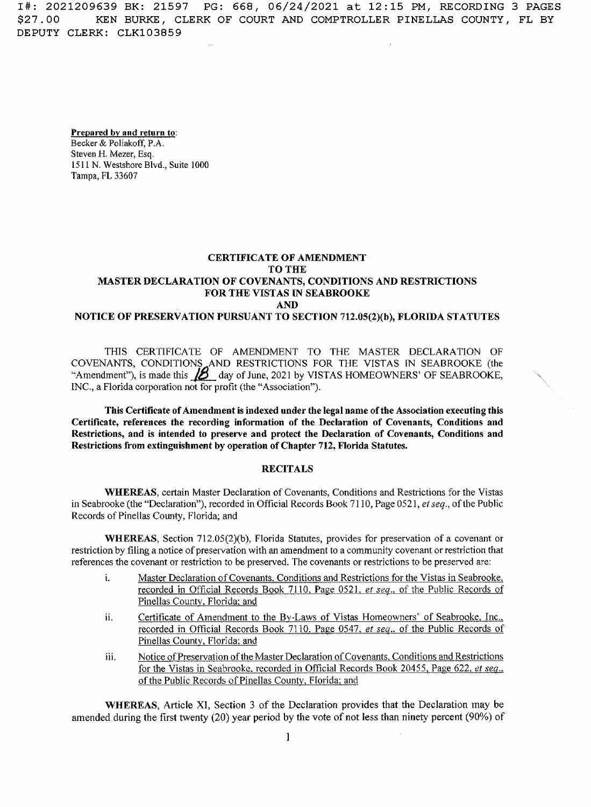I#: <sup>2021209639</sup> BK: <sup>21597</sup> PG: 668, 06/24/2021 at 12:15 PM, RECORDING 3 PAGES KEN BURKE, CLERK OF COURT AND COMPTROLLER PINELLAS COUNTY, FL BY \$27.00 DEPUTY CLERK: CLK103859

### **Prepared bv and return to:** Becker & Poliakoff, P.A.

**Steven** H. **Mezer,** Esq. 1511 N. **Westshore Blvd.,** Suite 1000 Tampa, FL 33607

## **CERTIFICATE OF AMENDMENT TO** THE **MASTER DECLARATION OF COVENANTS, CONDITIONS AND RESTRICTIONS** FOR THE VISTAS **IN** SEABROOKE AND **NOTICE OF PRESERVATION PURSUANT TO SECTION** 712.05(2)(b), FLORIDA STATUTES

THIS CERTIFICATE OF AMENDMENT TO THE MASTER DECLARATION OF COVENANTS, CONDITIONS AND RESTRICTIONS FOR THE VISTAS IN SEABROOKE (the "Amendment"), is made this  $\mathcal{D}$  day of June, 2021 by VISTAS HOMEOWNERS' OF SEABROOKE, INC., <sup>a</sup> Florida corporation not for profit (the "Association").

This Certificate of**Amendment** is indexed under **the** legal **name ofthe** Association **executing this Certificate, references the recording information of the Declaration of Covenants,** Conditions and Restrictions, **and** is **intended to preserve and** protect **the Declaration of** Covenants, **Conditions and** Restrictions **from extinguishment by operation of Chapter** 712, **Florida Statutes,**

# **RECITALS**

**WHEREAS**, certain Master Declaration of Covenants, Conditions and Restrictions for the Vistas in Seabrooke (the "Declaration"), recorded in Official Records Book 7110, Page 0521, *etseq.,* ofthe Public Records of Pinellas County, Florida; and

WHEREAS, Section 712,05(2)(b), Florida Statutes, provides for preservation of <sup>a</sup> covenant or restriction by filing a notice of preservation with an amendment to a community covenant or restriction that references the covenant or restriction to be preserved. The covenants or restrictions to be preserved are:

- Master Declaration of Covenants. Conditions and Restrictions for the Vistas in Seabrooke, recorded in Official Records Book 7110. Page 0521. ef *seq..* of the Public Records of Pinellas County, Florida: and **i.**
- Certificate of Amendment to the By-Laws of Vistas Homeowners' of Seabrooke. Inc.. recorded in Official Records Book 7110, Page 0547, *et seq..* of the Public Records of Pinellas County. Florida: and **ii.**
- Notice of Preservation of the Master Declaration of Covenants. Conditions and Restrictions for the Vistas in Seabrooke. recorded in Official Records Book 20455, Page 622. *et sea..* of the Public Records of Pinellas County, Florida: and iii.

WHEREAS, Article XI, Section 3 of the Declaration provides that the Declaration may be amended during the first twenty (20) year period by **the** vote of not less than ninety percen<sup>t</sup> (90%) of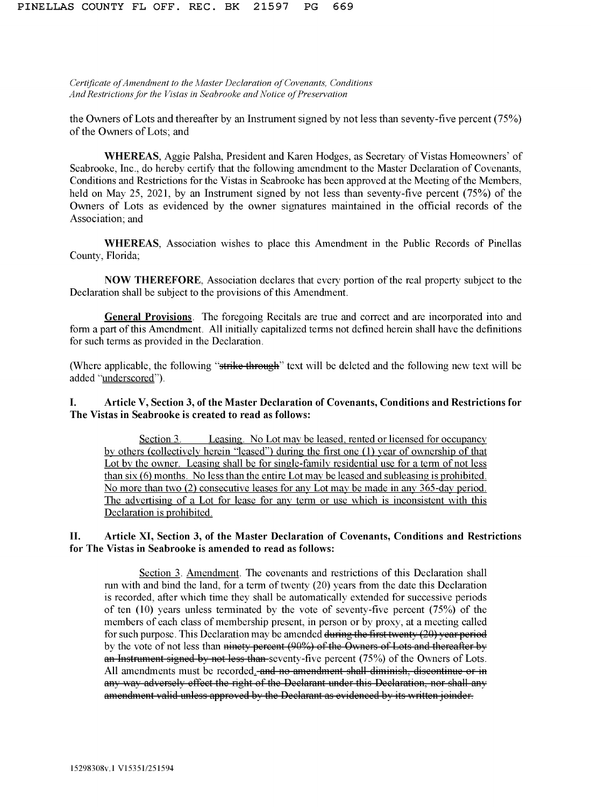*Certificate ofAmendment to the Master Declaration ofCovenants, Conditions AndRestrictionsfor the Vistas in Seabrooke andNotice of Preservation*

the Owners of Lots and thereafter by an Instrument signed by not less than seventy-five percent (75%) of the Owners of Lots; and

WHEREAS, Aggie Palsha, President and Karen Hodges, as Secretary of Vistas Homeowners' of Seabrooke, Inc., do hereby certify that the following amendment to the Master Declaration of Covenants, Conditions and Restrictions for the Vistas in Seabrooke has been approved at the Meeting of the Members, held on May 25, 2021, by an Instrument signed by not less than seventy-five percen<sup>t</sup> (75%) of the Owners of Lots as evidenced by the owner signatures maintained in the official records of the Association; and

WHEREAS, Association wishes to place this Amendment in the Public Records of Pinellas County, Florida;

**NOW THEREFORE,** Association declares that every portion of the real property subject to the Declaration shall be subject to the provisions of this Amendment.

**General Provisions.** The foregoing Recitals are true and correct and are incorporated into and form a part of this Amendment. All initially capitalized terms not defined herein shall have the definitions for such terms as provided in the Declaration.

(Where applicable, the following "strike through" text will be deleted and the following new text will be added "underscored").

#### **Article V, Section 3, ofthe Master Declaration of Covenants, Conditions and Restrictions for The Vistas in Seabrooke is created to read as follows: I.**

Leasing. No Lot may be leased, rented or licensed for occupancy by others (collectively herein "leased") during the first one (1) year of ownership of that Lot by the owner. Leasing shall be for single-family residential use for a term of not less than  $six(6)$  months. No less than the entire Lot may be leased and subleasing is prohibited. No more than two (2) consecutive leases for any Lot may be made in any 365-day period. The advertising of <sup>a</sup> Lot for lease for any term or use which is inconsistent with this Declaration is prohibited. Section 3.

#### **Article XI, Section 3, of the Master Declaration of Covenants, Conditions and Restrictions for The Vistas in Seabrooke is amended to read as follows: II.**

Section 3. Amendment. The covenants and restrictions of this Declaration shall run with and bind the land, for a term of twenty  $(20)$  years from the date this Declaration is recorded, after which time they shall be automatically extended for successive periods of ten (10) years unless terminated by the vote of seventy-five percen<sup>t</sup> (75%) of the members of each class of membership present, in person or by proxy, at a meeting called for such purpose. This Declaration may be amended during the first twenty  $(20)$  year period by the vote of not less than ninety percent (90%) of the Owners of Lots and thereafter by an Instrument signed by not less than-seventy-five percent  $(75%)$  of the Owners of Lots. All amendments must be recorded. and no amendment shall diminish, discontinue or in any way adversely effect the right of the Declarant under this Declaration, nor shall any am<sup>e</sup>ndment valid unl<sup>e</sup>ss approved by th<sup>e</sup> Declarant as <sup>e</sup>vid<sup>e</sup>nc<sup>e</sup>d by its writt<sup>e</sup><sup>n</sup> joinder.